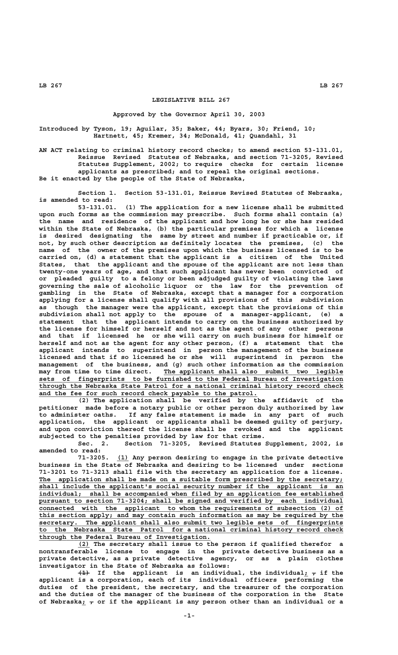## **LEGISLATIVE BILL 267**

## **Approved by the Governor April 30, 2003**

**Introduced by Tyson, 19; Aguilar, 35; Baker, 44; Byars, 30; Friend, 10; Hartnett, 45; Kremer, 34; McDonald, 41; Quandahl, 31**

**AN ACT relating to criminal history record checks; to amend section 53-131.01, Reissue Revised Statutes of Nebraska, and section 71-3205, Revised Statutes Supplement, 2002; to require checks for certain license applicants as prescribed; and to repeal the original sections. Be it enacted by the people of the State of Nebraska,**

**Section 1. Section 53-131.01, Reissue Revised Statutes of Nebraska, is amended to read:**

**53-131.01. (1) The application for a new license shall be submitted upon such forms as the commission may prescribe. Such forms shall contain (a) the name and residence of the applicant and how long he or she has resided within the State of Nebraska, (b) the particular premises for which a license is desired designating the same by street and number if practicable or, if not, by such other description as definitely locates the premises, (c) the name of the owner of the premises upon which the business licensed is to be carried on, (d) a statement that the applicant is a citizen of the United States, that the applicant and the spouse of the applicant are not less than twenty-one years of age, and that such applicant has never been convicted of or pleaded guilty to a felony or been adjudged guilty of violating the laws governing the sale of alcoholic liquor or the law for the prevention of gambling in the State of Nebraska, except that a manager for a corporation applying for a license shall qualify with all provisions of this subdivision as though the manager were the applicant, except that the provisions of this subdivision shall not apply to the spouse of a manager-applicant, (e) a statement that the applicant intends to carry on the business authorized by the license for himself or herself and not as the agent of any other persons and that if licensed he or she will carry on such business for himself or herself and not as the agent for any other person, (f) a statement that the applicant intends to superintend in person the management of the business licensed and that if so licensed he or she will superintend in person the management of the business, and (g) such other information as the commission**  $m$ ay from time to time direct. The applicant shall also submit two legible  **\_\_\_\_\_\_\_\_\_\_\_\_\_\_\_\_\_\_\_\_\_\_\_\_\_\_\_\_\_\_\_\_\_\_\_\_\_\_\_\_\_\_\_\_\_\_\_\_\_\_\_\_\_\_\_\_\_\_\_\_\_\_\_\_\_\_\_\_\_\_\_\_\_\_\_\_\_\_ sets of fingerprints to be furnished to the Federal Bureau of Investigation \_\_\_\_\_\_\_\_\_\_\_\_\_\_\_\_\_\_\_\_\_\_\_\_\_\_\_\_\_\_\_\_\_\_\_\_\_\_\_\_\_\_\_\_\_\_\_\_\_\_\_\_\_\_\_\_\_\_\_\_\_\_\_\_\_\_\_\_\_\_\_\_\_\_\_\_\_\_ through the Nebraska State Patrol for a national criminal history record check** and the fee for such record check payable to the patrol.

**(2) The application shall be verified by the affidavit of the petitioner made before a notary public or other person duly authorized by law to administer oaths. If any false statement is made in any part of such application, the applicant or applicants shall be deemed guilty of perjury, and upon conviction thereof the license shall be revoked and the applicant subjected to the penalties provided by law for that crime.**

**Sec. 2. Section 71-3205, Revised Statutes Supplement, 2002, is amended to read:**

 **\_\_\_ 71-3205. (1) Any person desiring to engage in the private detective business in the State of Nebraska and desiring to be licensed under sections 71-3201 to 71-3213 shall file with the secretary an application for a license.** The application shall be made on a suitable form prescribed by the secretary;  **\_\_\_\_\_\_\_\_\_\_\_\_\_\_\_\_\_\_\_\_\_\_\_\_\_\_\_\_\_\_\_\_\_\_\_\_\_\_\_\_\_\_\_\_\_\_\_\_\_\_\_\_\_\_\_\_\_\_\_\_\_\_\_\_\_\_\_\_\_\_\_\_\_\_\_\_\_\_ shall include the applicant's social security number if the applicant is an \_\_\_\_\_\_\_\_\_\_\_\_\_\_\_\_\_\_\_\_\_\_\_\_\_\_\_\_\_\_\_\_\_\_\_\_\_\_\_\_\_\_\_\_\_\_\_\_\_\_\_\_\_\_\_\_\_\_\_\_\_\_\_\_\_\_\_\_\_\_\_\_\_\_\_\_\_\_ individual; shall be accompanied when filed by an application fee established** pursuant to section 71-3204; shall be signed and verified by each individual  **\_\_\_\_\_\_\_\_\_\_\_\_\_\_\_\_\_\_\_\_\_\_\_\_\_\_\_\_\_\_\_\_\_\_\_\_\_\_\_\_\_\_\_\_\_\_\_\_\_\_\_\_\_\_\_\_\_\_\_\_\_\_\_\_\_\_\_\_\_\_\_\_\_\_\_\_\_\_ connected with the applicant to whom the requirements of subsection (2) of** this section apply; and may contain such information as may be required by the  $\overline{\phantom{a}}$  secretary. The applicant shall also submit two legible sets of fingerprints  **\_\_\_\_\_\_\_\_\_\_\_\_\_\_\_\_\_\_\_\_\_\_\_\_\_\_\_\_\_\_\_\_\_\_\_\_\_\_\_\_\_\_\_\_\_\_\_\_\_\_\_\_\_\_\_\_\_\_\_\_\_\_\_\_\_\_\_\_\_\_\_\_\_\_\_\_\_\_ to the Nebraska State Patrol for a national criminal history record check \_\_\_\_\_\_\_\_\_\_\_\_\_\_\_\_\_\_\_\_\_\_\_\_\_\_\_\_\_\_\_\_\_\_\_\_\_\_\_\_\_\_\_\_ through the Federal Bureau of Investigation.**

 **\_\_\_ (2) The secretary shall issue to the person if qualified therefor a nontransferable license to engage in the private detective business as a private detective, as a private detective agency, or as a plain clothes investigator in the State of Nebraska as follows:**

 $\overline{+1}$  If the applicant is an individual, the individual;  $\tau$  if the **applicant is a corporation, each of its individual officers performing the duties of the president, the secretary, and the treasurer of the corporation and the duties of the manager of the business of the corporation in the State** of Nebraska<sub>i</sub>  $\tau$  or if the applicant is any person other than an individual or a